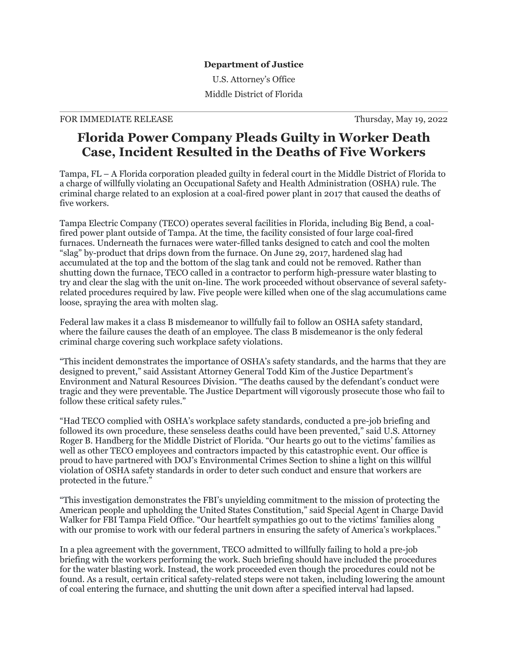## **Department of Justice**

U.S. Attorney's Office Middle District of Florida

## FOR IMMEDIATE RELEASE Thursday, May 19, 2022

## **Florida Power Company Pleads Guilty in Worker Death Case, Incident Resulted in the Deaths of Five Workers**

Tampa, FL – A Florida corporation pleaded guilty in federal court in the Middle District of Florida to a charge of willfully violating an Occupational Safety and Health Administration (OSHA) rule. The criminal charge related to an explosion at a coal-fired power plant in 2017 that caused the deaths of five workers.

Tampa Electric Company (TECO) operates several facilities in Florida, including Big Bend, a coalfired power plant outside of Tampa. At the time, the facility consisted of four large coal-fired furnaces. Underneath the furnaces were water-filled tanks designed to catch and cool the molten "slag" by-product that drips down from the furnace. On June 29, 2017, hardened slag had accumulated at the top and the bottom of the slag tank and could not be removed. Rather than shutting down the furnace, TECO called in a contractor to perform high-pressure water blasting to try and clear the slag with the unit on-line. The work proceeded without observance of several safetyrelated procedures required by law. Five people were killed when one of the slag accumulations came loose, spraying the area with molten slag.

Federal law makes it a class B misdemeanor to willfully fail to follow an OSHA safety standard, where the failure causes the death of an employee. The class B misdemeanor is the only federal criminal charge covering such workplace safety violations.

"This incident demonstrates the importance of OSHA's safety standards, and the harms that they are designed to prevent," said Assistant Attorney General Todd Kim of the Justice Department's Environment and Natural Resources Division. "The deaths caused by the defendant's conduct were tragic and they were preventable. The Justice Department will vigorously prosecute those who fail to follow these critical safety rules."

"Had TECO complied with OSHA's workplace safety standards, conducted a pre-job briefing and followed its own procedure, these senseless deaths could have been prevented," said U.S. Attorney Roger B. Handberg for the Middle District of Florida. "Our hearts go out to the victims' families as well as other TECO employees and contractors impacted by this catastrophic event. Our office is proud to have partnered with DOJ's Environmental Crimes Section to shine a light on this willful violation of OSHA safety standards in order to deter such conduct and ensure that workers are protected in the future."

"This investigation demonstrates the FBI's unyielding commitment to the mission of protecting the American people and upholding the United States Constitution," said Special Agent in Charge David Walker for FBI Tampa Field Office. "Our heartfelt sympathies go out to the victims' families along with our promise to work with our federal partners in ensuring the safety of America's workplaces."

In a plea agreement with the government, TECO admitted to willfully failing to hold a pre-job briefing with the workers performing the work. Such briefing should have included the procedures for the water blasting work. Instead, the work proceeded even though the procedures could not be found. As a result, certain critical safety-related steps were not taken, including lowering the amount of coal entering the furnace, and shutting the unit down after a specified interval had lapsed.